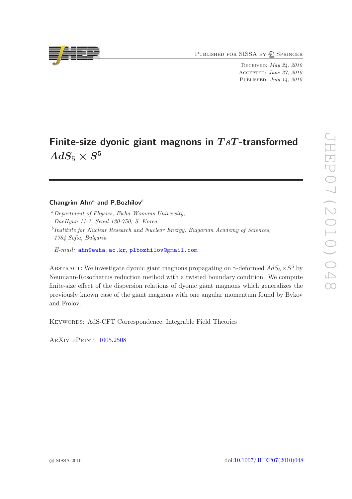PUBLISHED FOR SISSA BY 2 SPRINGER

Received: May 24, 2010 Accepted: June 27, 2010 PUBLISHED: July 14, 2010

# Finite-size dyonic giant magnons in  $TsT$ -transformed  $AdS_5\times S^5$

# Changrim Ahn<sup>a</sup> and P.Bozhilov<sup>b</sup>

- <sup>a</sup>*Department of Physics, Ewha Womans University, DaeHyun 11-1, Seoul 120-750, S. Korea*
- b *Institute for Nuclear Research and Nuclear Energy, Bulgarian Academy of Sciences, 1784 Sofia, Bulgaria*

*E-mail:* [ahn@ewha.ac.kr](mailto:ahn@ewha.ac.kr), [plbozhilov@gmail.com](mailto:plbozhilov@gmail.com)

ABSTRACT: We investigate dyonic giant magnons propagating on  $\gamma$ -deformed  $AdS_5 \times S^5$  by Neumann-Rosochatius reduction method with a twisted boundary condition. We compute finite-size effect of the dispersion relations of dyonic giant magnons which generalizes the previously known case of the giant magnons with one angular momentum found by Bykov and Frolov.

Keywords: AdS-CFT Correspondence, Integrable Field Theories

ArXiv ePrint: [1005.2508](http://arxiv.org/abs/1005.2508)

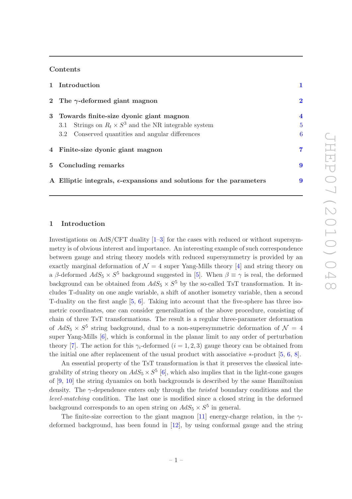#### Contents

| 1 Introduction                                                                |                |
|-------------------------------------------------------------------------------|----------------|
| 2 The $\gamma$ -deformed giant magnon                                         | $\bf{2}$       |
| 3 Towards finite-size dyonic giant magnon                                     | 4              |
| Strings on $R_t \times S^3$ and the NR integrable system<br>3.1               | $\overline{5}$ |
| 3.2 Conserved quantities and angular differences                              | 6              |
| 4 Finite-size dyonic giant magnon                                             | 7.             |
| 5 Concluding remarks                                                          | 9              |
| A Elliptic integrals, $\epsilon$ -expansions and solutions for the parameters | 9              |

## <span id="page-1-0"></span>1 Introduction

Investigations on  $AdS/CFT$  duality  $[1-3]$  for the cases with reduced or without supersymmetry is of obvious interest and importance. An interesting example of such correspondence between gauge and string theory models with reduced supersymmetry is provided by an exactly marginal deformation of  $\mathcal{N} = 4$  super Yang-Mills theory [\[4\]](#page-12-2) and string theory on a β-deformed  $AdS_5 \times S^5$  background suggested in [\[5](#page-13-0)]. When  $\beta \equiv \gamma$  is real, the deformed background can be obtained from  $AdS_5 \times S^5$  by the so-called TsT transformation. It includes T-duality on one angle variable, a shift of another isometry variable, then a second T-duality on the first angle [\[5,](#page-13-0) [6](#page-13-1)]. Taking into account that the five-sphere has three isometric coordinates, one can consider generalization of the above procedure, consisting of chain of three TsT transformations. The result is a regular three-parameter deformation of  $AdS_5 \times S^5$  string background, dual to a non-supersymmetric deformation of  $\mathcal{N} = 4$ super Yang-Mills [\[6](#page-13-1)], which is conformal in the planar limit to any order of perturbation theory [\[7\]](#page-13-2). The action for this  $\gamma_i$ -deformed  $(i = 1, 2, 3)$  gauge theory can be obtained from the initial one after replacement of the usual product with associative  $*$ -product [\[5,](#page-13-0) [6,](#page-13-1) [8](#page-13-3)].

An essential property of the TsT transformation is that it preserves the classical integrability of string theory on  $AdS_5 \times S^5$  [\[6\]](#page-13-1), which also implies that in the light-cone gauges of [\[9](#page-13-4), [10](#page-13-5)] the string dynamics on both backgrounds is described by the same Hamiltonian density. The γ-dependence enters only through the *twisted* boundary conditions and the *level-matching* condition. The last one is modified since a closed string in the deformed background corresponds to an open string on  $AdS_5 \times S^5$  in general.

The finite-size correction to the giant magnon [\[11\]](#page-13-6) energy-charge relation, in the  $\gamma$ deformed background, has been found in [\[12\]](#page-13-7), by using conformal gauge and the string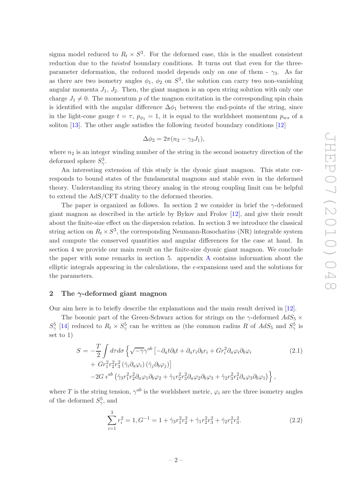sigma model reduced to  $R_t \times S^3$ . For the deformed case, this is the smallest consistent reduction due to the *twisted* boundary conditions. It turns out that even for the threeparameter deformation, the reduced model depends only on one of them -  $\gamma_3$ . As far as there are two isometry angles  $\phi_1$ ,  $\phi_2$  on  $S^3$ , the solution can carry two non-vanishing angular momenta  $J_1$ ,  $J_2$ . Then, the giant magnon is an open string solution with only one charge  $J_1 \neq 0$ . The momentum p of the magnon excitation in the corresponding spin chain is identified with the angular difference  $\Delta \phi_1$  between the end-points of the string, since in the light-cone gauge  $t = \tau$ ,  $p_{\phi_1} = 1$ , it is equal to the worldsheet momentum  $p_{ws}$  of a soliton [\[13](#page-13-8)]. The other angle satisfies the following *twisted* boundary conditions [\[12](#page-13-7)]

$$
\Delta \phi_2 = 2\pi (n_2 - \gamma_3 J_1),
$$

where  $n_2$  is an integer winding number of the string in the second isometry direction of the deformed sphere  $S^3_\gamma$ .

An interesting extension of this study is the dyonic giant magnon. This state corresponds to bound states of the fundamental magnons and stable even in the deformed theory. Understanding its string theory analog in the strong coupling limit can be helpful to extend the AdS/CFT duality to the deformed theories.

The paper is organized as follows. In section 2 we consider in brief the  $\gamma$ -deformed giant magnon as described in the article by Bykov and Frolov [\[12](#page-13-7)], and give their result about the finite-size effect on the dispersion relation. In section 3 we introduce the classical string action on  $R_t \times S^3$ , the corresponding Neumann-Rosochatius (NR) integrable system and compute the conserved quantities and angular differences for the case at hand. In section 4 we provide our main result on the finite-size dyonic giant magnon. We conclude the paper with some remarks in section 5. appendix [A](#page-9-1) contains information about the elliptic integrals appearing in the calculations, the  $\epsilon$ -expansions used and the solutions for the parameters.

#### <span id="page-2-0"></span>2 The  $\gamma$ -deformed giant magnon

Our aim here is to briefly describe the explanations and the main result derived in [\[12](#page-13-7)].

The bosonic part of the Green-Schwarz action for strings on the  $\gamma$ -deformed  $AdS_5 \times$  $S^5_\gamma$  [\[14\]](#page-13-9) reduced to  $R_t \times S^5_\gamma$  can be written as (the common radius R of  $AdS_5$  and  $S^5_\gamma$  is set to 1)

$$
S = -\frac{T}{2} \int d\tau d\sigma \left\{ \sqrt{-\gamma} \gamma^{ab} \left[ -\partial_a t \partial_b t + \partial_a r_i \partial_b r_i + G r_i^2 \partial_a \varphi_i \partial_b \varphi_i \right. \right. \tag{2.1}
$$

$$
+ G r_1^2 r_2^2 r_3^2 \left( \hat{\gamma}_i \partial_a \varphi_i \right) \left( \hat{\gamma}_j \partial_b \varphi_j \right) \right]
$$

$$
-2G \epsilon^{ab} \left( \hat{\gamma}_3 r_1^2 r_2^2 \partial_a \varphi_1 \partial_b \varphi_2 + \hat{\gamma}_1 r_2^2 r_3^2 \partial_a \varphi_2 \partial_b \varphi_3 + \hat{\gamma}_2 r_3^2 r_1^2 \partial_a \varphi_3 \partial_b \varphi_1 \right) \right\},
$$

where T is the string tension,  $\gamma^{ab}$  is the worldsheet metric,  $\varphi_i$  are the three isometry angles of the deformed  $S^5_\gamma$ , and

$$
\sum_{i=1}^{3} r_i^2 = 1, G^{-1} = 1 + \hat{\gamma}_3 r_1^2 r_2^2 + \hat{\gamma}_1 r_2^2 r_3^2 + \hat{\gamma}_2 r_1^2 r_3^2.
$$
 (2.2)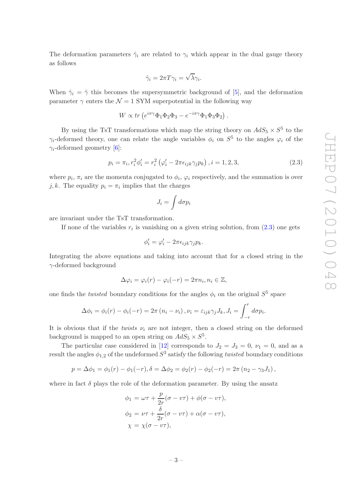The deformation parameters  $\hat{\gamma}_i$  are related to  $\gamma_i$  which appear in the dual gauge theory as follows

$$
\hat{\gamma}_i = 2\pi T \gamma_i = \sqrt{\lambda} \gamma_i.
$$

When  $\hat{\gamma}_i = \hat{\gamma}$  this becomes the supersymmetric background of [\[5\]](#page-13-0), and the deformation parameter  $\gamma$  enters the  $\mathcal{N} = 1$  SYM superpotential in the following way

$$
W \propto tr \left( e^{i\pi \gamma} \Phi_1 \Phi_2 \Phi_3 - e^{-i\pi \gamma} \Phi_1 \Phi_3 \Phi_2 \right).
$$

By using the TsT transformations which map the string theory on  $AdS_5 \times S^5$  to the  $\gamma_i$ -deformed theory, one can relate the angle variables  $\phi_i$  on  $S^5$  to the angles  $\varphi_i$  of the  $\gamma_i$ -deformed geometry [\[6\]](#page-13-1):

<span id="page-3-0"></span>
$$
p_i = \pi_i, r_i^2 \phi'_i = r_i^2 \left( \varphi'_i - 2\pi \epsilon_{ijk} \gamma_j p_k \right), i = 1, 2, 3,
$$
\n(2.3)

where  $p_i$ ,  $\pi_i$  are the momenta conjugated to  $\phi_i$ ,  $\varphi_i$  respectively, and the summation is over j, k. The equality  $p_i = \pi_i$  implies that the charges

$$
J_i = \int d\sigma p_i
$$

are invariant under the TsT transformation.

If none of the variables  $r_i$  is vanishing on a given string solution, from  $(2.3)$  one gets

$$
\phi_i' = \varphi_i' - 2\pi \epsilon_{ijk} \gamma_j p_k.
$$

Integrating the above equations and taking into account that for a closed string in the  $\gamma$ -deformed background

$$
\Delta \varphi_i = \varphi_i(r) - \varphi_i(-r) = 2\pi n_i, n_i \in \mathbb{Z},
$$

one finds the *twisted* boundary conditions for the angles  $\phi_i$  on the original  $S^5$  space

$$
\Delta \phi_i = \phi_i(r) - \phi_i(-r) = 2\pi (n_i - \nu_i), \nu_i = \varepsilon_{ijk} \gamma_j J_k, J_i = \int_{-r}^r d\sigma p_i.
$$

It is obvious that if the *twists*  $\nu_i$  are not integer, then a closed string on the deformed background is mapped to an open string on  $AdS_5 \times S^5$ .

The particular case considered in [\[12](#page-13-7)] corresponds to  $J_2 = J_3 = 0$ ,  $\nu_1 = 0$ , and as a result the angles  $\phi_{1,2}$  of the undeformed  $S^3$  satisfy the following *twisted* boundary conditions

$$
p = \Delta \phi_1 = \phi_1(r) - \phi_1(-r), \delta = \Delta \phi_2 = \phi_2(r) - \phi_2(-r) = 2\pi (n_2 - \gamma_3 J_1),
$$

where in fact  $\delta$  plays the role of the deformation parameter. By using the ansatz

$$
\phi_1 = \omega \tau + \frac{p}{2r} (\sigma - v\tau) + \phi(\sigma - v\tau),
$$
  
\n
$$
\phi_2 = \nu \tau + \frac{\delta}{2r} (\sigma - v\tau) + \alpha(\sigma - v\tau),
$$
  
\n
$$
\chi = \chi(\sigma - v\tau),
$$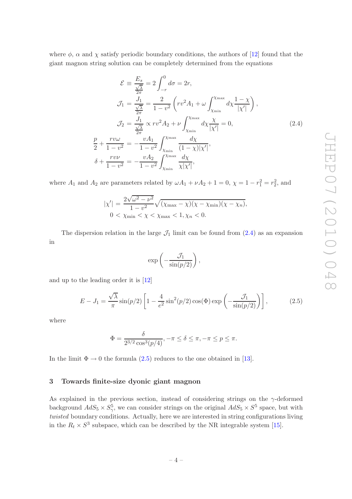where  $\phi$ ,  $\alpha$  and  $\chi$  satisfy periodic boundary conditions, the authors of [\[12\]](#page-13-7) found that the giant magnon string solution can be completely determined from the equations

<span id="page-4-1"></span>
$$
\mathcal{E} = \frac{E_s}{\frac{\sqrt{\lambda}}{2\pi}} = 2 \int_{-r}^{0} d\sigma = 2r,
$$
  
\n
$$
\mathcal{J}_1 = \frac{J_1}{\frac{\sqrt{\lambda}}{2\pi}} = \frac{2}{1 - v^2} \left( r v^2 A_1 + \omega \int_{\chi_{\text{min}}}^{\chi_{\text{max}}} d\chi \frac{1 - \chi}{|\chi'|} \right),
$$
  
\n
$$
\mathcal{J}_2 = \frac{J_1}{\frac{\sqrt{\lambda}}{2\pi}} \propto r v^2 A_2 + \nu \int_{\chi_{\text{min}}}^{\chi_{\text{max}}} d\chi \frac{\chi}{|\chi'|} = 0,
$$
  
\n
$$
\frac{p}{2} + \frac{r v \omega}{1 - v^2} = -\frac{v A_1}{1 - v^2} \int_{\chi_{\text{min}}}^{\chi_{\text{max}}} \frac{d\chi}{(1 - \chi)|\chi'|},
$$
  
\n
$$
\delta + \frac{r v \nu}{1 - v^2} = -\frac{v A_2}{1 - v^2} \int_{\chi_{\text{min}}}^{\chi_{\text{max}}} \frac{d\chi}{\chi |\chi'|},
$$

where  $A_1$  and  $A_2$  are parameters related by  $\omega A_1 + \nu A_2 + 1 = 0$ ,  $\chi = 1 - r_1^2 = r_2^2$ , and

$$
|\chi'| = \frac{2\sqrt{\omega^2 - \nu^2}}{1 - \nu^2} \sqrt{(\chi_{\max} - \chi)(\chi - \chi_{\min})(\chi - \chi_n)},
$$
  
0 < \chi\_{\min} < \chi < \chi\_{\max} < 1, \chi\_n < 0.

The dispersion relation in the large  $\mathcal{J}_1$  limit can be found from  $(2.4)$  as an expansion in

$$
\exp\left(-\frac{\mathcal{J}_1}{\sin(p/2)}\right),\,
$$

and up to the leading order it is [\[12](#page-13-7)]

<span id="page-4-2"></span>
$$
E - J_1 = \frac{\sqrt{\lambda}}{\pi} \sin(p/2) \left[ 1 - \frac{4}{e^2} \sin^2(p/2) \cos(\Phi) \exp\left(-\frac{\mathcal{J}_1}{\sin(p/2)}\right) \right],\tag{2.5}
$$

where

$$
\Phi = \frac{\delta}{2^{3/2} \cos^3(p/4)}, -\pi \le \delta \le \pi, -\pi \le p \le \pi.
$$

In the limit  $\Phi \to 0$  the formula [\(2.5\)](#page-4-2) reduces to the one obtained in [\[13](#page-13-8)].

#### <span id="page-4-0"></span>3 Towards finite-size dyonic giant magnon

As explained in the previous section, instead of considering strings on the  $\gamma$ -deformed background  $AdS_5 \times S^5_\gamma$ , we can consider strings on the original  $AdS_5 \times S^5$  space, but with *twisted* boundary conditions. Actually, here we are interested in string configurations living in the  $R_t \times S^3$  subspace, which can be described by the NR integrable system [\[15](#page-13-10)].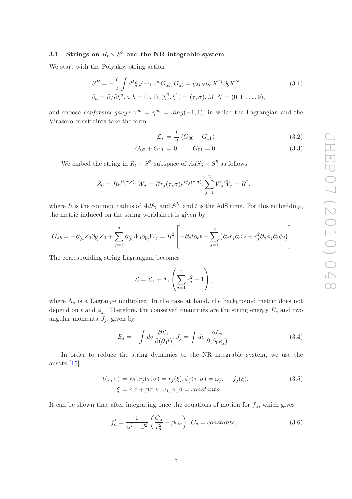# <span id="page-5-0"></span>3.1 Strings on  $R_t \times S^3$  and the NR integrable system

We start with the Polyakov string action

$$
S^{P} = -\frac{T}{2} \int d^{2}\xi \sqrt{-\gamma} \gamma^{ab} G_{ab}, G_{ab} = g_{MN} \partial_{a} X^{M} \partial_{b} X^{N},
$$
  
\n
$$
\partial_{a} = \partial/\partial \xi^{a}, a, b = (0, 1), (\xi^{0}, \xi^{1}) = (\tau, \sigma), M, N = (0, 1, \dots, 9),
$$
\n(3.1)

and choose *conformal gauge*  $\gamma^{ab} = \eta^{ab} = diag(-1,1)$ , in which the Lagrangian and the Virasoro constraints take the form

<span id="page-5-1"></span>
$$
\mathcal{L}_s = \frac{T}{2} \left( G_{00} - G_{11} \right) \tag{3.2}
$$

$$
G_{00} + G_{11} = 0, \qquad G_{01} = 0. \tag{3.3}
$$

We embed the string in  $R_t \times S^3$  subspace of  $AdS_5 \times S^5$  as follows

$$
Z_0 = Re^{it(\tau,\sigma)}, W_j = Rr_j(\tau,\sigma)e^{i\phi_j(\tau,\sigma)}, \sum_{j=1}^2 W_j \overline{W}_j = R^2,
$$

where R is the common radius of  $AdS_5$  and  $S^5$ , and t is the AdS time. For this embedding, the metric induced on the string worldsheet is given by

$$
G_{ab} = -\partial_{(a}Z_0 \partial_{b)} \bar{Z}_0 + \sum_{j=1}^2 \partial_{(a}W_j \partial_{b)} \bar{W}_j = R^2 \left[ -\partial_a t \partial_b t + \sum_{j=1}^2 \left( \partial_a r_j \partial_b r_j + r_j^2 \partial_a \phi_j \partial_b \phi_j \right) \right].
$$

The corresponding string Lagrangian becomes

$$
\mathcal{L} = \mathcal{L}_s + \Lambda_s \left( \sum_{j=1}^2 r_j^2 - 1 \right),
$$

where  $\Lambda_s$  is a Lagrange multiplier. In the case at hand, the background metric does not depend on t and  $\phi_i$ . Therefore, the conserved quantities are the string energy  $E_s$  and two angular momenta  $J_j$ , given by

<span id="page-5-3"></span>
$$
E_s = -\int d\sigma \frac{\partial \mathcal{L}_s}{\partial(\partial_0 t)}, J_j = \int d\sigma \frac{\partial \mathcal{L}_s}{\partial(\partial_0 \phi_j)}.
$$
(3.4)

In order to reduce the string dynamics to the NR integrable system, we use the ansatz [\[15](#page-13-10)]

<span id="page-5-2"></span>
$$
t(\tau,\sigma) = \kappa\tau, r_j(\tau,\sigma) = r_j(\xi), \phi_j(\tau,\sigma) = \omega_j\tau + f_j(\xi),
$$
  
\n
$$
\xi = \alpha\sigma + \beta\tau, \kappa, \omega_j, \alpha, \beta = constants.
$$
\n(3.5)

It can be shown that after integrating once the equations of motion for  $f_a$ , which gives

$$
f'_a = \frac{1}{\alpha^2 - \beta^2} \left( \frac{C_a}{r_a^2} + \beta \omega_a \right), C_a = \text{constants},\tag{3.6}
$$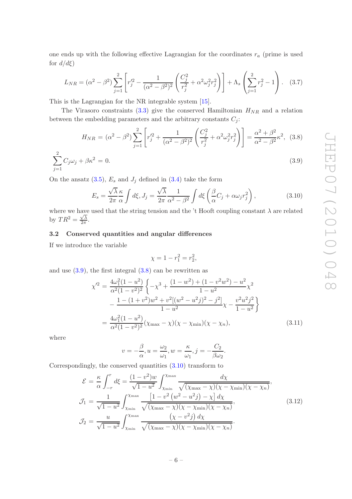one ends up with the following effective Lagrangian for the coordinates  $r_a$  (prime is used for  $d/d\xi$ )

$$
L_{NR} = (\alpha^2 - \beta^2) \sum_{j=1}^2 \left[ r_j'^2 - \frac{1}{(\alpha^2 - \beta^2)^2} \left( \frac{C_j^2}{r_j^2} + \alpha^2 \omega_j^2 r_j^2 \right) \right] + \Lambda_s \left( \sum_{j=1}^2 r_j^2 - 1 \right). \tag{3.7}
$$

This is the Lagrangian for the NR integrable system [\[15](#page-13-10)].

The Virasoro constraints [\(3.3\)](#page-5-1) give the conserved Hamiltonian  $H_{NR}$  and a relation between the embedding parameters and the arbitrary constants  $C_j$ :

<span id="page-6-1"></span>
$$
H_{NR} = (\alpha^2 - \beta^2) \sum_{j=1}^2 \left[ r_j'^2 + \frac{1}{(\alpha^2 - \beta^2)^2} \left( \frac{C_j^2}{r_j^2} + \alpha^2 \omega_j^2 r_j^2 \right) \right] = \frac{\alpha^2 + \beta^2}{\alpha^2 - \beta^2} \kappa^2, \tag{3.8}
$$

$$
\sum_{j=1}^{2} C_j \omega_j + \beta \kappa^2 = 0.
$$
\n(3.9)

On the ansatz  $(3.5)$ ,  $E_s$  and  $J_i$  defined in  $(3.4)$  take the form

<span id="page-6-2"></span>
$$
E_s = \frac{\sqrt{\lambda}}{2\pi} \frac{\kappa}{\alpha} \int d\xi, J_j = \frac{\sqrt{\lambda}}{2\pi} \frac{1}{\alpha^2 - \beta^2} \int d\xi \left(\frac{\beta}{\alpha} C_j + \alpha \omega_j r_j^2\right),\tag{3.10}
$$

where we have used that the string tension and the 't Hooft coupling constant  $\lambda$  are related by  $TR^2 = \frac{\sqrt{\lambda}}{2\pi}$  $\frac{\sqrt{\lambda}}{2\pi}$ .

## <span id="page-6-0"></span>3.2 Conserved quantities and angular differences

If we introduce the variable

$$
\chi = 1 - r_1^2 = r_2^2,
$$

and use  $(3.9)$ , the first integral  $(3.8)$  can be rewritten as

$$
\chi'^2 = \frac{4\omega_1^2 (1 - u^2)}{\alpha^2 (1 - v^2)^2} \left\{ -\chi^3 + \frac{(1 - w^2) + (1 - v^2 w^2) - u^2}{1 - u^2} \chi^2 - \frac{1 - (1 + v^2) w^2 + v^2 [(w^2 - u^2 j)^2 - j^2]}{1 - u^2} \chi - \frac{v^2 u^2 j^2}{1 - u^2} \right\}
$$
  
= 
$$
\frac{4\omega_1^2 (1 - u^2)}{\alpha^2 (1 - v^2)^2} (\chi_{\text{max}} - \chi)(\chi - \chi_{\text{min}})(\chi - \chi_n), \tag{3.11}
$$

where

$$
v = -\frac{\beta}{\alpha}, u = \frac{\omega_2}{\omega_1}, w = \frac{\kappa}{\omega_1}, j = -\frac{C_2}{\beta \omega_2}.
$$

Correspondingly, the conserved quantities [\(3.10\)](#page-6-2) transform to

<span id="page-6-3"></span>
$$
\mathcal{E} = \frac{\kappa}{\alpha} \int_{-r}^{r} d\xi = \frac{(1 - v^2)w}{\sqrt{1 - u^2}} \int_{\chi_{\text{min}}}^{\chi_{\text{max}}} \frac{d\chi}{\sqrt{(\chi_{\text{max}} - \chi)(\chi - \chi_{\text{min}})(\chi - \chi_{n})}},
$$
  
\n
$$
\mathcal{J}_1 = \frac{1}{\sqrt{1 - u^2}} \int_{\chi_{\text{min}}}^{\chi_{\text{max}}} \frac{\left[1 - v^2 (w^2 - u^2 j) - \chi\right] d\chi}{\sqrt{(\chi_{\text{max}} - \chi)(\chi - \chi_{\text{min}})(\chi - \chi_{n})}},
$$
  
\n
$$
\mathcal{J}_2 = \frac{u}{\sqrt{1 - u^2}} \int_{\chi_{\text{min}}}^{\chi_{\text{max}}} \frac{(\chi - v^2 j) d\chi}{\sqrt{(\chi_{\text{max}} - \chi)(\chi - \chi_{\text{min}})(\chi - \chi_{n})}}.
$$
\n(3.12)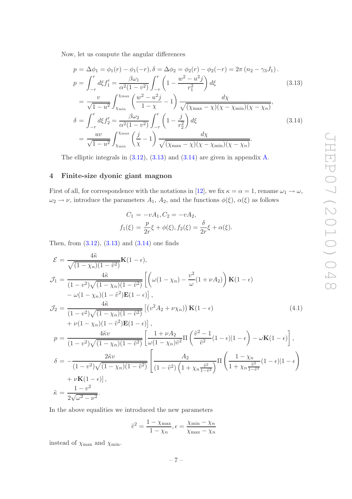Now, let us compute the angular differences

<span id="page-7-1"></span>
$$
p = \Delta \phi_1 = \phi_1(r) - \phi_1(-r), \delta = \Delta \phi_2 = \phi_2(r) - \phi_2(-r) = 2\pi (n_2 - \gamma_3 J_1).
$$
  
\n
$$
p = \int_{-r}^{r} d\xi f_1' = \frac{\beta \omega_1}{\alpha^2 (1 - v^2)} \int_{-r}^{r} \left(1 - \frac{w^2 - u^2 j}{r_1^2}\right) d\xi
$$
(3.13)

$$
= \frac{v}{\sqrt{1 - u^2}} \int_{\chi_{\min}}^{\chi_{\max}} \left( \frac{w^2 - u^2 j}{1 - \chi} - 1 \right) \frac{d\chi}{\sqrt{(\chi_{\max} - \chi)(\chi - \chi_{\min})(\chi - \chi_n)}},
$$
  

$$
\delta = \int_{-r}^{r} d\xi f_2' = \frac{\beta \omega_2}{\alpha^2 (1 - v^2)} \int_{-r}^{r} \left( 1 - \frac{j}{r_2^2} \right) d\xi
$$

$$
= \frac{uv}{\sqrt{1 - u^2}} \int_{\chi_{\min}}^{\chi_{\max}} \left( \frac{j}{\chi} - 1 \right) \frac{d\chi}{\sqrt{(\chi_{\max} - \chi)(\chi - \chi_{\min})(\chi - \chi_n)}}.
$$
(3.14)

The elliptic integrals in [\(3.12\)](#page-6-3), [\(3.13\)](#page-7-1) and [\(3.14\)](#page-7-1) are given in appendix [A.](#page-9-1)

## <span id="page-7-0"></span>4 Finite-size dyonic giant magnon

First of all, for correspondence with the notations in [\[12](#page-13-7)], we fix  $\kappa = \alpha = 1$ , rename  $\omega_1 \to \omega$ ,  $\omega_2 \to \nu$ , introduce the parameters  $A_1$ ,  $A_2$ , and the functions  $\phi(\xi)$ ,  $\alpha(\xi)$  as follows

$$
C_1 = -vA_1, C_2 = -vA_2,
$$
  

$$
f_1(\xi) = \frac{p}{2r}\xi + \phi(\xi), f_2(\xi) = \frac{\delta}{2r}\xi + \alpha(\xi).
$$

Then, from  $(3.12)$ ,  $(3.13)$  and  $(3.14)$  one finds

<span id="page-7-2"></span>
$$
\mathcal{E} = \frac{4\tilde{\kappa}}{\sqrt{(1 - \chi_n)(1 - \tilde{v}^2)}} \mathbf{K}(1 - \epsilon), \n\mathcal{J}_1 = \frac{4\tilde{\kappa}}{(1 - v^2)\sqrt{(1 - \chi_n)(1 - \tilde{v}^2)}} \left[ \left( \omega(1 - \chi_n) - \frac{v^2}{\omega}(1 + \nu A_2) \right) \mathbf{K}(1 - \epsilon) \right. \n- \omega(1 - \chi_n)(1 - \tilde{v}^2) \mathbf{E}(1 - \epsilon) \right], \n\mathcal{J}_2 = \frac{4\tilde{\kappa}}{(1 - v^2)\sqrt{(1 - \chi_n)(1 - \tilde{v}^2)}} \left[ (v^2 A_2 + \nu \chi_n) \right] \mathbf{K}(1 - \epsilon) \n+ \nu(1 - \chi_n)(1 - \tilde{v}^2) \mathbf{E}(1 - \epsilon) \right], \n\mathcal{p} = \frac{4\tilde{\kappa}v}{(1 - v^2)\sqrt{(1 - \chi_n)(1 - \tilde{v}^2)}} \left[ \frac{1 + \nu A_2}{\omega(1 - \chi_n)\tilde{v}^2} \Pi \left( \frac{\tilde{v}^2 - 1}{\tilde{v}^2}(1 - \epsilon) | 1 - \epsilon \right) - \omega \mathbf{K}(1 - \epsilon) \right], \n\delta = -\frac{2\tilde{\kappa}v}{(1 - v^2)\sqrt{(1 - \chi_n)(1 - \tilde{v}^2)}} \left[ \frac{A_2}{(1 - \tilde{v}^2)\left(1 + \chi_n \frac{\tilde{v}^2}{1 - \tilde{v}^2}\right)} \Pi \left( \frac{1 - \chi_n}{1 + \chi_n \frac{\tilde{v}^2}{1 - \tilde{v}^2}} (1 - \epsilon) | 1 - \epsilon \right) \right. \n+ \nu \mathbf{K}(1 - \epsilon) \right], \n\tilde{\kappa} = \frac{1 - v^2}{2\sqrt{\omega^2 - v^2}}.
$$

In the above equalities we introduced the new parameters

$$
\tilde{v}^2 = \frac{1 - \chi_{\text{max}}}{1 - \chi_n}, \epsilon = \frac{\chi_{\text{min}} - \chi_n}{\chi_{\text{max}} - \chi_n}
$$

instead of  $\chi_{\text{max}}$  and  $\chi_{\text{min}}$ .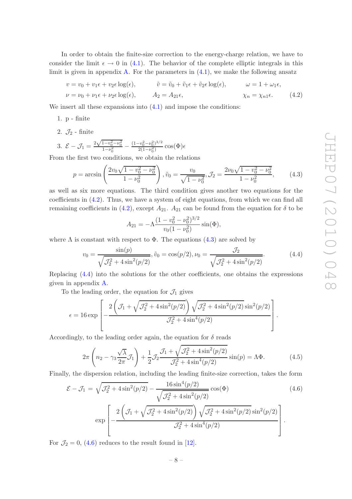In order to obtain the finite-size correction to the energy-charge relation, we have to consider the limit  $\epsilon \to 0$  in [\(4.1\)](#page-7-2). The behavior of the complete elliptic integrals in this limit is given in appendix [A.](#page-9-1) For the parameters in  $(4.1)$ , we make the following ansatz

$$
v = v_0 + v_1 \epsilon + v_2 \epsilon \log(\epsilon), \qquad \tilde{v} = \tilde{v}_0 + \tilde{v}_1 \epsilon + \tilde{v}_2 \epsilon \log(\epsilon), \qquad \omega = 1 + \omega_1 \epsilon,
$$
  

$$
\nu = \nu_0 + \nu_1 \epsilon + \nu_2 \epsilon \log(\epsilon), \qquad A_2 = A_{21} \epsilon, \qquad \chi_n = \chi_{n1} \epsilon.
$$
 (4.2)

We insert all these expansions into  $(4.1)$  and impose the conditions:

1. p - finite

2.  $\mathcal{J}_2$  - finite

3. 
$$
\mathcal{E} - \mathcal{J}_1 = \frac{2\sqrt{1 - v_0^2 - v_0^2}}{1 - v_0^2} - \frac{(1 - v_0^2 - v_0^2)^{3/2}}{2(1 - v_0^2)} \cos(\Phi)\epsilon
$$

From the first two conditions, we obtain the relations

<span id="page-8-1"></span>
$$
p = \arcsin\left(\frac{2v_0\sqrt{1 - v_0^2 - \nu_0^2}}{1 - \nu_0^2}\right), \tilde{v}_0 = \frac{v_0}{\sqrt{1 - \nu_0^2}}, \mathcal{J}_2 = \frac{2\nu_0\sqrt{1 - v_0^2 - \nu_0^2}}{1 - \nu_0^2},\tag{4.3}
$$

as well as six more equations. The third condition gives another two equations for the coefficients in [\(4.2\)](#page-8-0). Thus, we have a system of eight equations, from which we can find all remaining coefficients in [\(4.2\)](#page-8-0), except  $A_{21}$ .  $A_{21}$  can be found from the equation for  $\delta$  to be

<span id="page-8-0"></span>
$$
A_{21} = -\Lambda \frac{(1 - v_0^2 - \nu_0^2)^{3/2}}{v_0 (1 - \nu_0^2)} \sin(\Phi),
$$

where  $\Lambda$  is constant with respect to  $\Phi$ . The equations [\(4.3\)](#page-8-1) are solved by

<span id="page-8-2"></span>
$$
v_0 = \frac{\sin(p)}{\sqrt{\mathcal{J}_2^2 + 4\sin^2(p/2)}}, \tilde{v}_0 = \cos(p/2), \nu_0 = \frac{\mathcal{J}_2}{\sqrt{\mathcal{J}_2^2 + 4\sin^2(p/2)}}.
$$
(4.4)

Replacing [\(4.4\)](#page-8-2) into the solutions for the other coefficients, one obtains the expressions given in appendix [A.](#page-9-1)

To the leading order, the equation for  $\mathcal{J}_1$  gives

$$
\epsilon = 16 \exp \left[ -\frac{2 \left( \mathcal{J}_1 + \sqrt{\mathcal{J}_2^2 + 4 \sin^2(p/2)} \right) \sqrt{\mathcal{J}_2^2 + 4 \sin^2(p/2)} \sin^2(p/2)}{\mathcal{J}_2^2 + 4 \sin^4(p/2)} \right].
$$

Accordingly, to the leading order again, the equation for  $\delta$  reads

$$
2\pi \left( n_2 - \gamma_3 \frac{\sqrt{\lambda}}{2\pi} \mathcal{J}_1 \right) + \frac{1}{2} \mathcal{J}_2 \frac{\mathcal{J}_1 + \sqrt{\mathcal{J}_2^2 + 4\sin^2(p/2)}}{\mathcal{J}_2^2 + 4\sin^4(p/2)} \sin(p) = \Lambda \Phi. \tag{4.5}
$$

Finally, the dispersion relation, including the leading finite-size correction, takes the form

<span id="page-8-3"></span>
$$
\mathcal{E} - \mathcal{J}_1 = \sqrt{\mathcal{J}_2^2 + 4\sin^2(p/2)} - \frac{16\sin^4(p/2)}{\sqrt{\mathcal{J}_2^2 + 4\sin^2(p/2)}}\cos(\Phi)
$$
(4.6)

$$
\exp\left[-\frac{2\left(\mathcal{J}_{1}+\sqrt{\mathcal{J}_{2}^{2}+4\sin^{2}(p/2)}\right)\sqrt{\mathcal{J}_{2}^{2}+4\sin^{2}(p/2)}\sin^{2}(p/2)}{\mathcal{J}_{2}^{2}+4\sin^{4}(p/2)}\right].
$$

For  $\mathcal{J}_2 = 0$ , [\(4.6\)](#page-8-3) reduces to the result found in [\[12](#page-13-7)].

$$
-8-
$$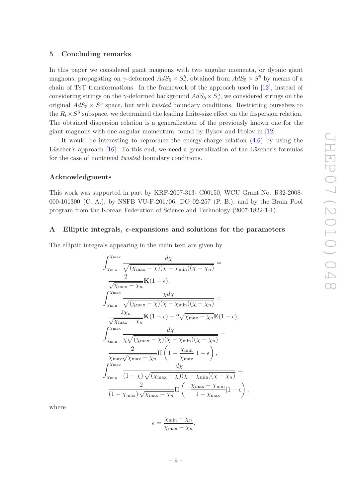#### <span id="page-9-0"></span>5 Concluding remarks

In this paper we considered giant magnons with two angular momenta, or dyonic giant magnons, propagating on  $\gamma$ -deformed  $AdS_5 \times S_\gamma^5$ , obtained from  $AdS_5 \times S^5$  by means of a chain of TsT transformations. In the framework of the approach used in [\[12](#page-13-7)], instead of considering strings on the  $\gamma$ -deformed background  $AdS_5 \times S^5_\gamma$ , we considered strings on the original  $AdS_5 \times S^5$  space, but with *twisted* boundary conditions. Restricting ourselves to the  $R_t \times S^3$  subspace, we determined the leading finite-size effect on the dispersion relation. The obtained dispersion relation is a generalization of the previously known one for the giant magnons with one angular momentum, found by Bykov and Frolov in [\[12\]](#page-13-7).

It would be interesting to reproduce the energy-charge relation [\(4.6\)](#page-8-3) by using the Lüscher's approach [\[16](#page-13-11)]. To this end, we need a generalization of the Lüscher's formulas for the case of nontrivial *twisted* boundary conditions.

#### Acknowledgments

This work was supported in part by KRF-2007-313- C00150, WCU Grant No. R32-2008- 000-101300 (C. A.), by NSFB VU-F-201/06, DO 02-257 (P. B.), and by the Brain Pool program from the Korean Federation of Science and Technology (2007-1822-1-1).

## <span id="page-9-1"></span>A Elliptic integrals,  $\epsilon$ -expansions and solutions for the parameters

The elliptic integrals appearing in the main text are given by

$$
\int_{\chi_{\min}}^{\chi_{\max}} \frac{d\chi}{\sqrt{(\chi_{\max} - \chi)(\chi - \chi_{\min})(\chi - \chi_n)}} =
$$
\n
$$
\frac{2}{\sqrt{\chi_{\max} - \chi_n}} \mathbf{K}(1 - \epsilon),
$$
\n
$$
\int_{\chi_{\min}}^{\chi_{\max}} \frac{\chi d\chi}{\sqrt{(\chi_{\max} - \chi)(\chi - \chi_{\min})(\chi - \chi_n)}} =
$$
\n
$$
\frac{2\chi_n}{\sqrt{\chi_{\max} - \chi_n}} \mathbf{K}(1 - \epsilon) + 2\sqrt{\chi_{\max} - \chi_n} \mathbf{E}(1 - \epsilon),
$$
\n
$$
\int_{\chi_{\min}}^{\chi_{\max}} \frac{d\chi}{\chi \sqrt{(\chi_{\max} - \chi)(\chi - \chi_{\min})(\chi - \chi_n)}} =
$$
\n
$$
\frac{2}{\chi_{\max} \sqrt{\chi_{\max} - \chi_n}} \Pi \left(1 - \frac{\chi_{\min}}{\chi_{\max}} |1 - \epsilon\right),
$$
\n
$$
\int_{\chi_{\min}}^{\chi_{\max}} \frac{d\chi}{(1 - \chi) \sqrt{(\chi_{\max} - \chi)(\chi - \chi_{\min})(\chi - \chi_n)}} =
$$
\n
$$
\frac{2}{(1 - \chi_{\max}) \sqrt{\chi_{\max} - \chi_n}} \Pi \left( -\frac{\chi_{\max} - \chi_{\min}}{1 - \chi_{\max}} |1 - \epsilon \right),
$$

where

$$
\epsilon = \frac{\chi_{\min} - \chi_n}{\chi_{\max} - \chi_n}.
$$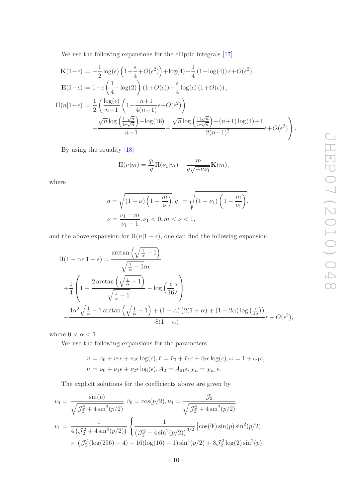We use the following expansions for the elliptic integrals [\[17](#page-13-12)]

$$
\mathbf{K}(1-\epsilon) = -\frac{1}{2}\log(\epsilon)\left(1+\frac{\epsilon}{4}+O(\epsilon^2)\right) + \log(4) - \frac{1}{4}\left(1-\log(4)\right)\epsilon + O(\epsilon^2),
$$
  
\n
$$
\mathbf{E}(1-\epsilon) = 1-\epsilon\left(\frac{1}{4}-\log(2)\right)\left(1+O(\epsilon)\right) - \frac{\epsilon}{4}\log(\epsilon)\left(1+O(\epsilon)\right),
$$
  
\n
$$
\Pi(n|1-\epsilon) = \frac{1}{2}\left(\frac{\log(\epsilon)}{n-1}\left(1-\frac{n+1}{4(n-1)}\epsilon+O(\epsilon^2)\right)\right)
$$
  
\n
$$
+\frac{\sqrt{n}\log\left(\frac{1+\sqrt{n}}{1-\sqrt{n}}\right)-\log(16)}{n-1} - \frac{\sqrt{n}\log\left(\frac{1+\sqrt{n}}{1-\sqrt{n}}\right)-(n+1)\log(4)+1}{2(n-1)^2}\epsilon+O(\epsilon^2)\right).
$$

By using the equality [\[18](#page-13-13)]

$$
\Pi(\nu|m) = \frac{q_1}{q}\Pi(\nu_1|m) - \frac{m}{q\sqrt{-\nu\nu_1}}\mathbf{K}(m),
$$

where

$$
q = \sqrt{(1 - \nu) \left(1 - \frac{m}{\nu}\right)}, q_1 = \sqrt{(1 - \nu_1) \left(1 - \frac{m}{\nu_1}\right)},
$$
  

$$
\nu = \frac{\nu_1 - m}{\nu_1 - 1}, \nu_1 < 0, m < \nu < 1,
$$

and the above expansion for  $\Pi(n|1-\epsilon)$ , one can find the following expansion

$$
\Pi(1 - \alpha \epsilon | 1 - \epsilon) = \frac{\arctan\left(\sqrt{\frac{1}{\alpha} - 1}\right)}{\sqrt{\frac{1}{\alpha} - 1}\alpha \epsilon}
$$
  
+ 
$$
\frac{1}{4} \left(1 - \frac{2 \arctan\left(\sqrt{\frac{1}{\alpha} - 1}\right)}{\sqrt{\frac{1}{\alpha} - 1}} - \log\left(\frac{\epsilon}{16}\right)\right)
$$
  
- 
$$
\frac{4\alpha^2 \sqrt{\frac{1}{\alpha} - 1} \arctan\left(\sqrt{\frac{1}{\alpha} - 1}\right) + (1 - \alpha) (2(1 + \alpha) + (1 + 2\alpha) \log\left(\frac{\epsilon}{16}\right))}{8(1 - \alpha)} \epsilon + O(\epsilon^2),
$$

where  $0 < \alpha < 1$ .

We use the following expansions for the parameters

$$
v = v_0 + v_1 \epsilon + v_2 \epsilon \log(\epsilon), \tilde{v} = \tilde{v}_0 + \tilde{v}_1 \epsilon + \tilde{v}_2 \epsilon \log(\epsilon), \omega = 1 + \omega_1 \epsilon,
$$
  

$$
\nu = \nu_0 + \nu_1 \epsilon + \nu_2 \epsilon \log(\epsilon), A_2 = A_{21} \epsilon, \chi_n = \chi_{n1} \epsilon.
$$

The explicit solutions for the coefficients above are given by

$$
v_0 = \frac{\sin(p)}{\sqrt{\mathcal{J}_2^2 + 4\sin^2(p/2)}}, \tilde{v}_0 = \cos(p/2), \nu_0 = \frac{\mathcal{J}_2}{\sqrt{\mathcal{J}_2^2 + 4\sin^2(p/2)}},
$$
  

$$
v_1 = \frac{1}{4\left(\mathcal{J}_2^2 + 4\sin^4(p/2)\right)} \left\{ \frac{1}{\left(\mathcal{J}_2^2 + 4\sin^2(p/2)\right)^{3/2}} \left[\cos(\Phi)\sin(p)\sin^2(p/2)\right] \times \left(\mathcal{J}_2^4(\log(256) - 4) - 16(\log(16) - 1)\sin^4(p/2) + 8\mathcal{J}_2^2\log(2)\sin^2(p)\right)\right\}
$$

 $-10-$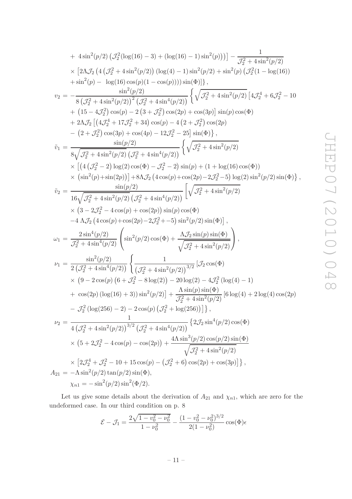+ 
$$
4 \sin^2(p/2) (J_2^2(\log(16) - 3) + (\log(16) - 1) \sin^2(p)) ] - \frac{1}{J_2^2 + 4 \sin^2(p/2)}
$$
  
\n $\times [2\Lambda J_2 (4 (J_2^2 + 4 \sin^2(p/2)) (\log(4) - 1) \sin^2(p/2) + \sin^2(p) (J_2^2(1 - \log(16)))$   
\n $+ \sin^2(p) - \log(16) \cos(p)(1 - \cos(p))) \sin(\Phi)]$ ,  
\n $v_2 = -\frac{\sin^2(p/2)}{8 (J_2^2 + 4 \sin^2(p/2))} (\frac{\sin^2(p/2)}{J_2^2 + 4 \sin^4(p/2))} \left\{ \sqrt{J_2^2 + 4 \sin^2(p/2)} [4J_2^4 + 6J_2^2 - 10]$   
\n $+ (15 - 4J_2^2) \cos(p) - 2 (3 + J_2^2) \cos(2p) + \cos(3p)] \sin(p) \cos(\Phi)$   
\n $+ 2\Lambda J_2 [4J_2^4 + 17J_2^2 + 34) \cos(p) - 4 (2 + J_2^2) \cos(2p)$   
\n $- (2 + J_2^2) \cos(3p) + \cos(4p) - 12J_2^2 - 25] \sin(\Phi) \}$ ,  
\n $\tilde{v}_1 = \frac{\sin(p/2)}{8 \sqrt{J_2^2 + 4 \sin^2(p/2)} (\frac{J_2^2 + 4 \sin^4(p/2))}{\sqrt{J_2^2 + 4 \sin^2(p/2)}} \left\{ \sqrt{J_2^2 + 4 \sin^2(p/2)} \right\}$   
\n $\times [(4 (J_2^2 - 2) \log(2) \cos(\Phi) - J_2^2 - 2) \sin(p) + (1 + \log(16) \cos(\Phi))$   
\n $\times (\sin^2(p) + \sin(2p))] + 8\Lambda J_2 (4 \cos(p) + \cos(2p) - 2J_2^2 - 5) \log(2) \sin^2(p/2) \sin(\Phi) \}$ ,  
\n $\tilde{v}_2 = \frac{\sin(p/2)}{16 \sqrt{J_2^2 + 4 \sin^2(p/2)}} (\frac{\sin^2(p/2)$ 

Let us give some details about the derivation of  $A_{21}$  and  $\chi_{n1}$ , which are zero for the undeformed case. In our third condition on p. 8

$$
\mathcal{E} - \mathcal{J}_1 = \frac{2\sqrt{1 - v_0^2 - \nu_0^2}}{1 - \nu_0^2} - \frac{(1 - v_0^2 - \nu_0^2)^{3/2}}{2(1 - \nu_0^2)} \cos(\Phi)\epsilon
$$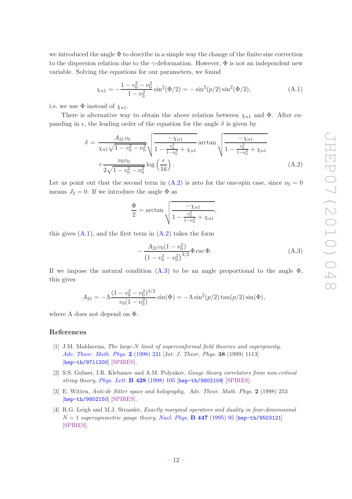we introduced the angle  $\Phi$  to describe in a simple way the change of the finite-size correction to the dispersion relation due to the  $\gamma$ -deformation. However,  $\Phi$  is not an independent new variable. Solving the equations for our parameters, we found

<span id="page-12-4"></span>
$$
\chi_{n1} = -\frac{1 - v_0^2 - \nu_0^2}{1 - \nu_0^2} \sin^2(\Phi/2) = -\sin^2(p/2)\sin^2(\Phi/2),\tag{A.1}
$$

i.e. we use  $\Phi$  instead of  $\chi_{n1}$ .

There is alternative way to obtain the above relation between  $\chi_{n1}$  and  $\Phi$ . After expanding in  $\epsilon$ , the leading order of the equation for the angle  $\delta$  is given by

<span id="page-12-3"></span>
$$
\delta = \frac{A_{21}v_0}{\chi_{n1}\sqrt{1 - v_0^2 - \nu_0^2}} \sqrt{\frac{-\chi_{n1}}{1 - \frac{v_0^2}{1 - \nu_0^2} + \chi_{n1}}} \arctan \sqrt{\frac{-\chi_{n1}}{1 - \frac{v_0^2}{1 - \nu_0^2} + \chi_{n1}}} + \frac{\nu_0 v_0}{2\sqrt{1 - v_0^2 - \nu_0^2}} \log \left(\frac{\epsilon}{16}\right). \tag{A.2}
$$

Let us point out that the second term in  $(A.2)$  is zero for the one-spin case, since  $\nu_0 = 0$ means  $J_2 = 0$ . If we introduce the angle  $\Phi$  as

$$
\frac{\Phi}{2} = \arctan \sqrt{\frac{-\chi_{n1}}{1 - \frac{v_0^2}{1 - \nu_0^2} + \chi_{n1}}},
$$

this gives  $(A.1)$ , and the first term in  $(A.2)$  takes the form

<span id="page-12-5"></span>
$$
-\frac{A_{21}v_0(1-\nu_0^2)}{(1-v_0^2-\nu_0^2)^{3/2}}\Phi\csc\Phi.
$$
 (A.3)

If we impose the natural condition  $(A.3)$  to be an angle proportional to the angle  $\Phi$ , this gives

$$
A_{21} = -\Lambda \frac{(1 - v_0^2 - \nu_0^2)^{3/2}}{v_0(1 - \nu_0^2)} \sin(\Phi) = -\Lambda \sin^2(p/2) \tan(p/2) \sin(\Phi),
$$

where  $\Lambda$  does not depend on  $\Phi$ .

#### References

- <span id="page-12-0"></span>[1] J.M. Maldacena, *The large-*N *limit of superconformal field theories and supergravity*, *[Adv. Theor. Math. Phys.](http://dx.doi.org/10.1023/A:1026654312961)* 2 (1998) 231 [*Int. J. Theor. Phys.* 38 (1999) 1113] [[hep-th/9711200](http://arxiv.org/abs/hep-th/9711200)] [\[SPIRES\]](http://www-spires.slac.stanford.edu/spires/find/hep/www?eprint=HEP-TH/9711200).
- [2] S.S. Gubser, I.R. Klebanov and A.M. Polyakov, *Gauge theory correlators from non-critical string theory*, *[Phys. Lett.](http://dx.doi.org/10.1016/S0370-2693(98)00377-3)* B 428 (1998) 105 [[hep-th/9802109](http://arxiv.org/abs/hep-th/9802109)] [\[SPIRES\]](http://www-spires.slac.stanford.edu/spires/find/hep/www?eprint=HEP-TH/9802109).
- <span id="page-12-1"></span>[3] E. Witten, *Anti-de Sitter space and holography*, *Adv. Theor. Math. Phys.* 2 (1998) 253 [[hep-th/9802150](http://arxiv.org/abs/hep-th/9802150)] [\[SPIRES\]](http://www-spires.slac.stanford.edu/spires/find/hep/www?eprint=HEP-TH/9802150).
- <span id="page-12-2"></span>[4] R.G. Leigh and M.J. Strassler, *Exactly marginal operators and duality in four-dimensional*  $N = 1$  *supersymmetric gauge theory, [Nucl. Phys.](http://dx.doi.org/10.1016/0550-3213(95)00261-P)* **B 447** (1995) 95 [[hep-th/9503121](http://arxiv.org/abs/hep-th/9503121)] [\[SPIRES\]](http://www-spires.slac.stanford.edu/spires/find/hep/www?eprint=HEP-TH/9503121).